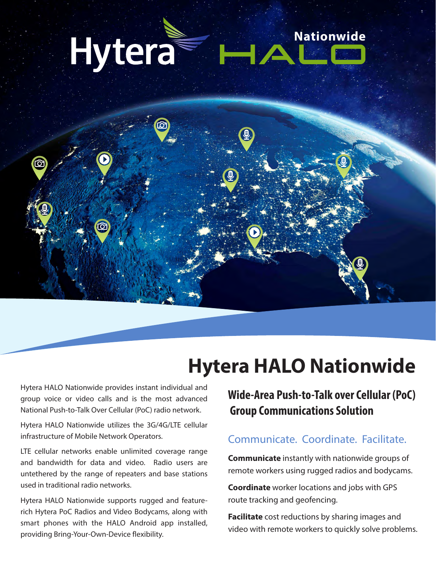



# **Hytera HALO Nationwide**

Hytera HALO Nationwide provides instant individual and group voice or video calls and is the most advanced National Push-to-Talk Over Cellular (PoC) radio network.

Hytera HALO Nationwide utilizes the 3G/4G/LTE cellular infrastructure of Mobile Network Operators.

LTE cellular networks enable unlimited coverage range and bandwidth for data and video. Radio users are untethered by the range of repeaters and base stations used in traditional radio networks.

Hytera HALO Nationwide supports rugged and featurerich Hytera PoC Radios and Video Bodycams, along with smart phones with the HALO Android app installed, providing Bring-Your-Own-Device flexibility.

## Wide-Area Push-to-Talk over Cellular (PoC) **Group Communications Solution**

### Communicate, Coordinate, Facilitate,

**Communicate** instantly with nationwide groups of remote workers using rugged radios and bodycams.

**Coordinate** worker locations and jobs with GPS route tracking and geofencing.

Facilitate cost reductions by sharing images and video with remote workers to quickly solve problems.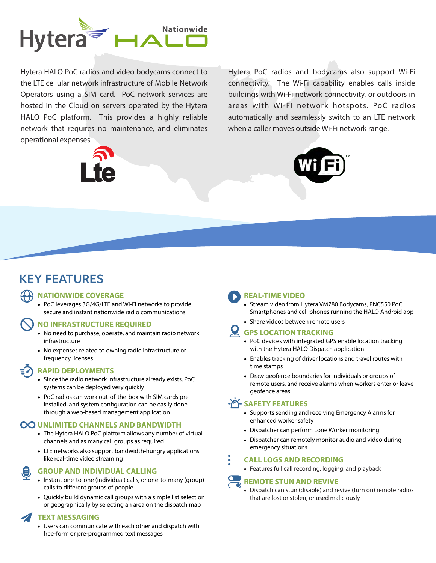

Hytera HALO PoC radios and video bodycams connect to the LTE cellular network infrastructure of Mobile Network Operators using a SIM card. PoC network services are hosted in the Cloud on servers operated by the Hytera HALO PoC platform. This provides a highly reliable network that requires no maintenance, and eliminates operational expenses.



Hytera PoC radios and bodycams also support Wi-Fi connectivity. The Wi-Fi capability enables calls inside buildings with Wi-Fi network connectivity, or outdoors in areas with Wi-Fi network hotspots. PoC radios automatically and seamlessly switch to an LTE network when a caller moves outside Wi-Fi network range.



## **KEY FEATURES**

#### **NATIONWIDE COVERAGE**

• PoC leverages 3G/4G/LTE and Wi-Fi networks to provide secure and instant nationwide radio communications

#### **NO INFRASTRUCTURE REQUIRED**

- No need to purchase, operate, and maintain radio network infrastructure
- No expenses related to owning radio infrastructure or frequency licenses

#### **RAPID DEPLOYMENTS**

- Since the radio network infrastructure already exists, PoC systems can be deployed very quickly
- PoC radios can work out-of-the-box with SIM cards preinstalled, and system configuration can be easily done through a web-based management application

#### **CO UNLIMITED CHANNELS AND BANDWIDTH**

- The Hytera HALO PoC platform allows any number of virtual channels and as many call groups as required
- LTE networks also support bandwidth-hungry applications like real-time video streaming

#### **GROUP AND INDIVIDUAL CALLING**

- Instant one-to-one (individual) calls, or one-to-many (group) calls to different groups of people
- Quickly build dynamic call groups with a simple list selection or geographically by selecting an area on the dispatch map

#### **TEXT MESSAGING**

• Users can communicate with each other and dispatch with free-form or pre-programmed text messages

#### REAL-TIME VIDEO

- Stream video from Hytera VM780 Bodycams, PNC550 PoC Smartphones and cell phones running the HALO Android app
- Share videos between remote users

#### **W GPS LOCATION TRACKING**

- PoC devices with integrated GPS enable location tracking with the Hytera HALO Dispatch application
- Enables tracking of driver locations and travel routes with time stamps
- Draw geofence boundaries for individuals or groups of remote users, and receive alarms when workers enter or leave geofence areas

#### **A SAFETY FEATURES**

- Supports sending and receiving Emergency Alarms for enhanced worker safety
- Dispatcher can perform Lone Worker monitoring
- Dispatcher can remotely monitor audio and video during emergency situations

#### •— CALL LOGS AND RECORDING

• Features full call recording, logging, and playback

#### **REMOTE STUN AND REVIVE**

• Dispatch can stun (disable) and revive (turn on) remote radios that are lost or stolen, or used maliciously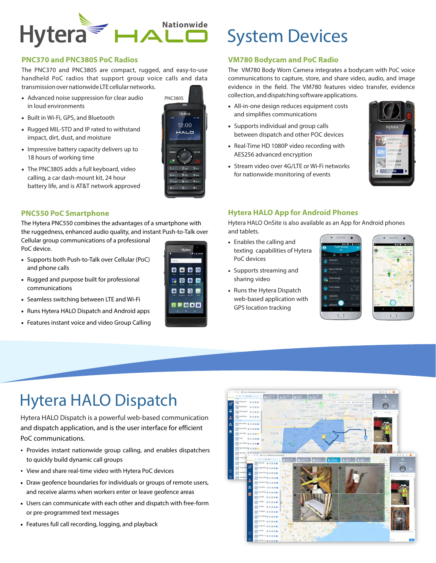

#### **PNC370 and PNC380S PoC Radios**

The PNC370 and PNC380S are compact, rugged, and easy-to-use handheld PoC radios that support group voice calls and data transmission over nationwide LTE cellular networks.

- Advanced noise suppression for clear audio in loud environments
- Built in Wi-Fi, GPS, and Bluetooth
- Rugged MIL-STD and IP rated to withstand impact, dirt, dust, and moisture
- Impressive battery capacity delivers up to 18 hours of working time
- The PNC380S adds a full keyboard, video calling, a car dash-mount kit, 24 hour battery life, and is AT&T network approved

#### **PNC550 PoC Smartphone**

The Hytera PNC550 combines the advantages of a smartphone with the ruggedness, enhanced audio quality, and instant Push-to-Talk over Cellular group communications of a professional PoC device.

• Supports both Push-to-Talk over Cellular (PoC)

- and phone calls
- Rugged and purpose built for professional communications
- Seamless switching between LTE and Wi-Fi
- Runs Hytera HALO Dispatch and Android apps
- Features instant voice and video Group Calling



0000

**1000** 

9999

 $\bullet$ **DDE** 

# **System Devices**

#### **VM780 Bodycam and PoC Radio**

The VM780 Body Worn Camera integrates a bodycam with PoC voice communications to capture, store, and share video, audio, and image evidence in the field. The VM780 features video transfer, evidence collection, and dispatching software applications.

- All-in-one design reduces equipment costs and simplifies communications
- Supports individual and group calls between dispatch and other POC devices
- Real-Time HD 1080P video recording with AES256 advanced encryption
- Stream video over 4G/LTE or Wi-Fi networks for nationwide monitoring of events



#### **Hytera HALO App for Android Phones**

Hytera HALO OnSite is also available as an App for Android phones and tablets.

- Enables the calling and texting capabilities of Hytera PoC devices
- Supports streaming and sharing video
- Runs the Hytera Dispatch web-based application with **GPS** location tracking





## **Hytera HALO Dispatch**

Hytera HALO Dispatch is a powerful web-based communication and dispatch application, and is the user interface for efficient PoC communications.

- Provides instant nationwide group calling, and enables dispatchers to quickly build dynamic call groups
- View and share real-time video with Hytera PoC devices
- Draw geofence boundaries for individuals or groups of remote users, and receive alarms when workers enter or leave geofence areas
- Users can communicate with each other and dispatch with free-form or pre-programmed text messages
- Features full call recording, logging, and playback